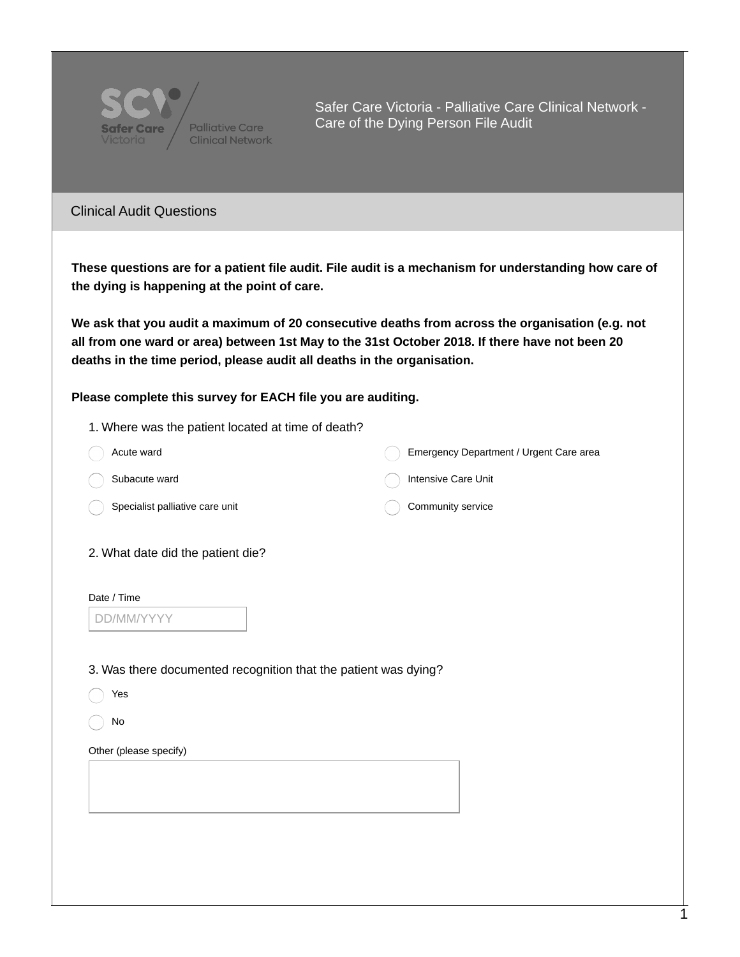

Safer Care Victoria - Palliative Care Clinical Network - Care of the Dying Person File Audit

## Clinical Audit Questions

These questions are for a patient file audit. File audit is a mechanism for understanding how care of **the dying is happening at the point of care.**

**We ask that you audit a maximum of 20 consecutive deaths from across the organisation (e.g. not** all from one ward or area) between 1st May to the 31st October 2018. If there have not been 20 **deaths in the time period, please audit all deaths in the organisation.**

## **Please complete this survey for EACH file you are auditing.**

- 1. Where was the patient located at time of death?
- Acute ward Subacute ward Specialist palliative care unit Emergency Department / Urgent Care area Intensive Care Unit Community service 2. What date did the patient die?

| Date / Time |  |
|-------------|--|
| DD/MM/YYY   |  |

3. Was there documented recognition that the patient was dying?

- Yes
- $( )$  No

Other (please specify)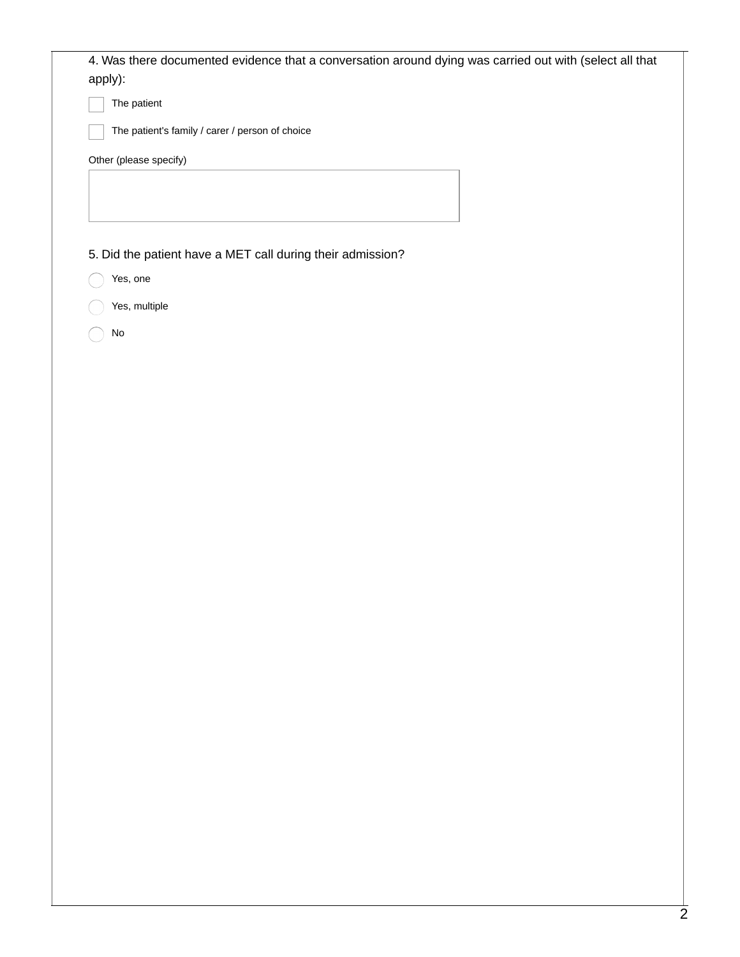| 4. Was there documented evidence that a conversation around dying was carried out with (select all that<br>apply): |
|--------------------------------------------------------------------------------------------------------------------|
| The patient                                                                                                        |
| The patient's family / carer / person of choice                                                                    |
| Other (please specify)                                                                                             |
|                                                                                                                    |
|                                                                                                                    |
|                                                                                                                    |
| 5. Did the patient have a MET call during their admission?                                                         |
| Yes, one                                                                                                           |
| Yes, multiple                                                                                                      |
| No                                                                                                                 |
|                                                                                                                    |
|                                                                                                                    |
|                                                                                                                    |
|                                                                                                                    |
|                                                                                                                    |
|                                                                                                                    |
|                                                                                                                    |
|                                                                                                                    |
|                                                                                                                    |
|                                                                                                                    |
|                                                                                                                    |
|                                                                                                                    |
|                                                                                                                    |
|                                                                                                                    |
|                                                                                                                    |
|                                                                                                                    |